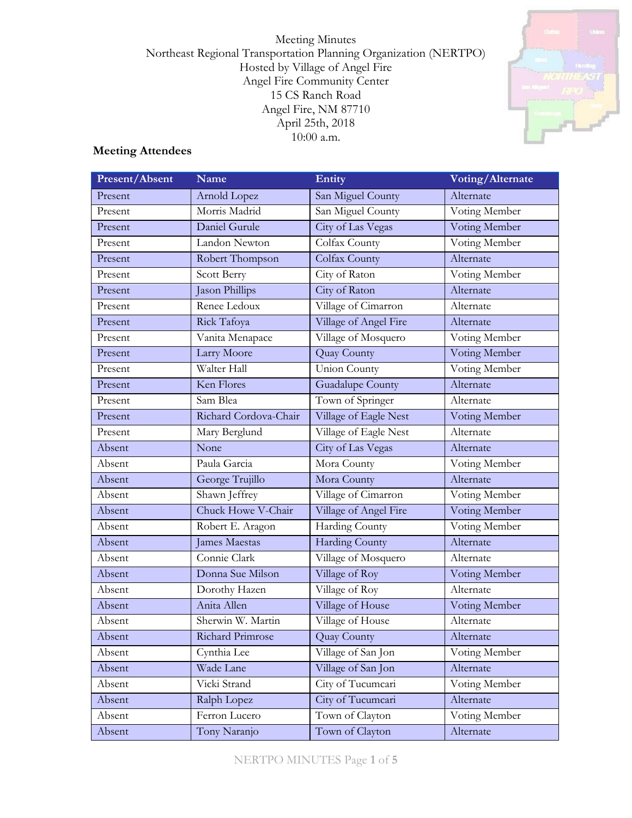Meeting Minutes Northeast Regional Transportation Planning Organization (NERTPO) Hosted by Village of Angel Fire Angel Fire Community Center 15 CS Ranch Road Angel Fire, NM 87710 April 25th, 2018 10:00 a.m.



# **Meeting Attendees**

| <b>Present/Absent</b> | Name                  | Entity                  | Voting/Alternate |
|-----------------------|-----------------------|-------------------------|------------------|
| Present               | Arnold Lopez          | San Miguel County       | Alternate        |
| Present               | Morris Madrid         | San Miguel County       | Voting Member    |
| Present               | Daniel Gurule         | City of Las Vegas       | Voting Member    |
| Present               | Landon Newton         | Colfax County           | Voting Member    |
| Present               | Robert Thompson       | Colfax County           | Alternate        |
| Present               | Scott Berry           | City of Raton           | Voting Member    |
| Present               | Jason Phillips        | City of Raton           | Alternate        |
| Present               | Renee Ledoux          | Village of Cimarron     | Alternate        |
| Present               | Rick Tafoya           | Village of Angel Fire   | Alternate        |
| Present               | Vanita Menapace       | Village of Mosquero     | Voting Member    |
| Present               | Larry Moore           | Quay County             | Voting Member    |
| Present               | Walter Hall           | Union County            | Voting Member    |
| Present               | Ken Flores            | <b>Guadalupe County</b> | Alternate        |
| Present               | Sam Blea              | Town of Springer        | Alternate        |
| Present               | Richard Cordova-Chair | Village of Eagle Nest   | Voting Member    |
| Present               | Mary Berglund         | Village of Eagle Nest   | Alternate        |
| Absent                | None                  | City of Las Vegas       | Alternate        |
| Absent                | Paula Garcia          | Mora County             | Voting Member    |
| Absent                | George Trujillo       | Mora County             | Alternate        |
| Absent                | Shawn Jeffrey         | Village of Cimarron     | Voting Member    |
| Absent                | Chuck Howe V-Chair    | Village of Angel Fire   | Voting Member    |
| Absent                | Robert E. Aragon      | Harding County          | Voting Member    |
| Absent                | <b>James Maestas</b>  | <b>Harding County</b>   | Alternate        |
| Absent                | Connie Clark          | Village of Mosquero     | Alternate        |
| Absent                | Donna Sue Milson      | Village of Roy          | Voting Member    |
| Absent                | Dorothy Hazen         | Village of Roy          | Alternate        |
| Absent                | Anita Allen           | Village of House        | Voting Member    |
| Absent                | Sherwin W. Martin     | Village of House        | Alternate        |
| Absent                | Richard Primrose      | <b>Quay County</b>      | Alternate        |
| Absent                | Cynthia Lee           | Village of San Jon      | Voting Member    |
| Absent                | Wade Lane             | Village of San Jon      | Alternate        |
| Absent                | Vicki Strand          | City of Tucumcari       | Voting Member    |
| Absent                | Ralph Lopez           | City of Tucumcari       | Alternate        |
| Absent                | Ferron Lucero         | Town of Clayton         | Voting Member    |
| Absent                | Tony Naranjo          | Town of Clayton         | Alternate        |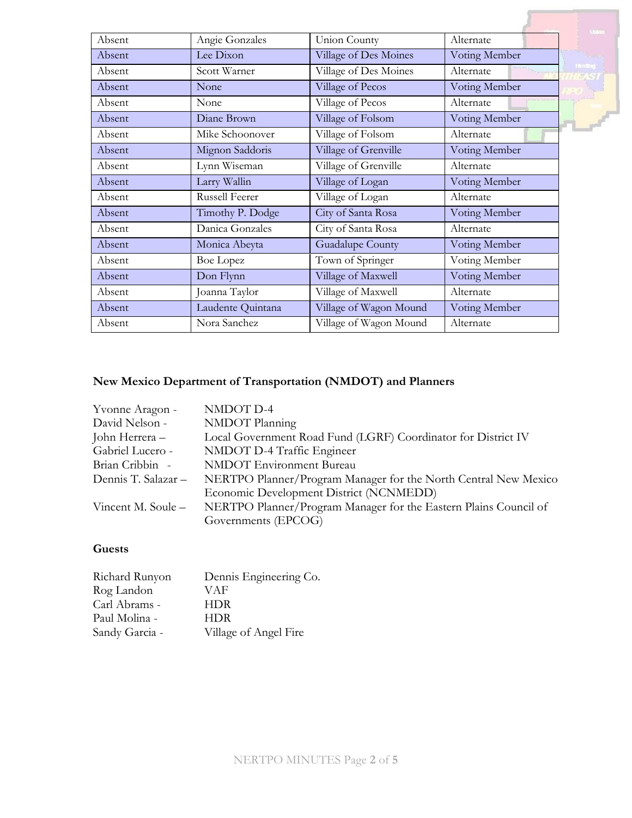|        |                       |                         |               | United         |
|--------|-----------------------|-------------------------|---------------|----------------|
| Absent | Angie Gonzales        | Union County            | Alternate     |                |
| Absent | Lee Dixon             | Village of Des Moines   | Voting Member |                |
| Absent | Scott Warner          | Village of Des Moines   | Alternate     | <b>Handbug</b> |
| Absent | None                  | Village of Pecos        | Voting Member |                |
| Absent | None                  | Village of Pecos        | Alternate     |                |
| Absent | Diane Brown           | Village of Folsom       | Voting Member |                |
| Absent | Mike Schoonover       | Village of Folsom       | Alternate     |                |
| Absent | Mignon Saddoris       | Village of Grenville    | Voting Member |                |
| Absent | Lynn Wiseman          | Village of Grenville    | Alternate     |                |
| Absent | Larry Wallin          | Village of Logan        | Voting Member |                |
| Absent | <b>Russell Feerer</b> | Village of Logan        | Alternate     |                |
| Absent | Timothy P. Dodge      | City of Santa Rosa      | Voting Member |                |
| Absent | Danica Gonzales       | City of Santa Rosa      | Alternate     |                |
| Absent | Monica Abeyta         | <b>Guadalupe County</b> | Voting Member |                |
| Absent | <b>Boe Lopez</b>      | Town of Springer        | Voting Member |                |
| Absent | Don Flynn             | Village of Maxwell      | Voting Member |                |
| Absent | Joanna Taylor         | Village of Maxwell      | Alternate     |                |
| Absent | Laudente Quintana     | Village of Wagon Mound  | Voting Member |                |
| Absent | Nora Sanchez          | Village of Wagon Mound  | Alternate     |                |

# **New Mexico Department of Transportation (NMDOT) and Planners**

| NMDOT D-4                                                        |
|------------------------------------------------------------------|
| NMDOT Planning                                                   |
| Local Government Road Fund (LGRF) Coordinator for District IV    |
| NMDOT D-4 Traffic Engineer                                       |
| <b>NMDOT</b> Environment Bureau                                  |
| NERTPO Planner/Program Manager for the North Central New Mexico  |
| Economic Development District (NCNMEDD)                          |
| NERTPO Planner/Program Manager for the Eastern Plains Council of |
| Governments (EPCOG)                                              |
|                                                                  |

# **Guests**

| Richard Runyon | Dennis Engineering Co. |
|----------------|------------------------|
| Rog Landon     | VAF                    |
| Carl Abrams -  | <b>HDR</b>             |
| Paul Molina -  | <b>HDR</b>             |
| Sandy Garcia - | Village of Angel Fire  |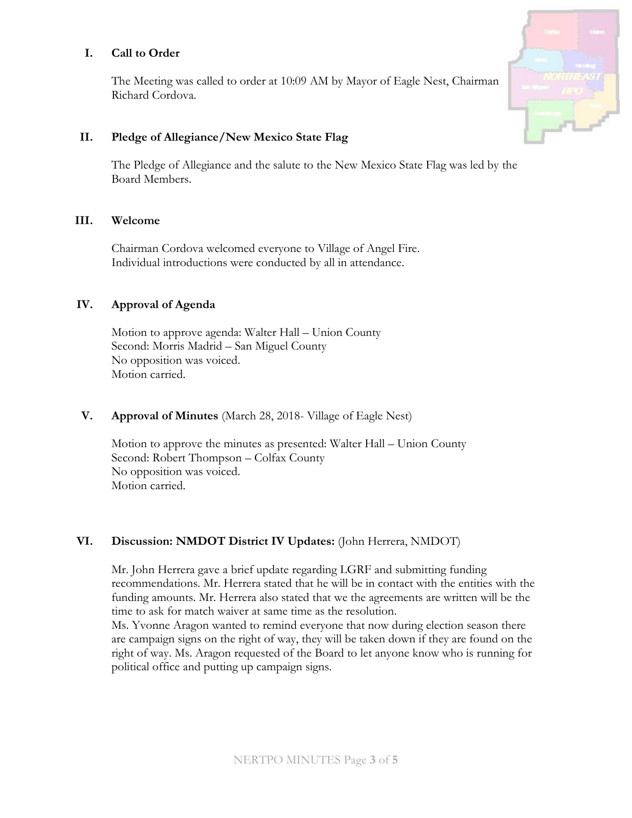# **I. Call to Order**

The Meeting was called to order at 10:09 AM by Mayor of Eagle Nest, Chairman Richard Cordova.

#### **II. Pledge of Allegiance/New Mexico State Flag**

The Pledge of Allegiance and the salute to the New Mexico State Flag was led by the Board Members.

#### **III. Welcome**

Chairman Cordova welcomed everyone to Village of Angel Fire. Individual introductions were conducted by all in attendance.

# **IV. Approval of Agenda**

Motion to approve agenda: Walter Hall – Union County Second: Morris Madrid – San Miguel County No opposition was voiced. Motion carried.

#### **V. Approval of Minutes** (March 28, 2018- Village of Eagle Nest)

Motion to approve the minutes as presented: Walter Hall – Union County Second: Robert Thompson – Colfax County No opposition was voiced. Motion carried.

# **VI. Discussion: NMDOT District IV Updates:** (John Herrera, NMDOT)

Mr. John Herrera gave a brief update regarding LGRF and submitting funding recommendations. Mr. Herrera stated that he will be in contact with the entities with the funding amounts. Mr. Herrera also stated that we the agreements are written will be the time to ask for match waiver at same time as the resolution.

Ms. Yvonne Aragon wanted to remind everyone that now during election season there are campaign signs on the right of way, they will be taken down if they are found on the right of way. Ms. Aragon requested of the Board to let anyone know who is running for political office and putting up campaign signs.

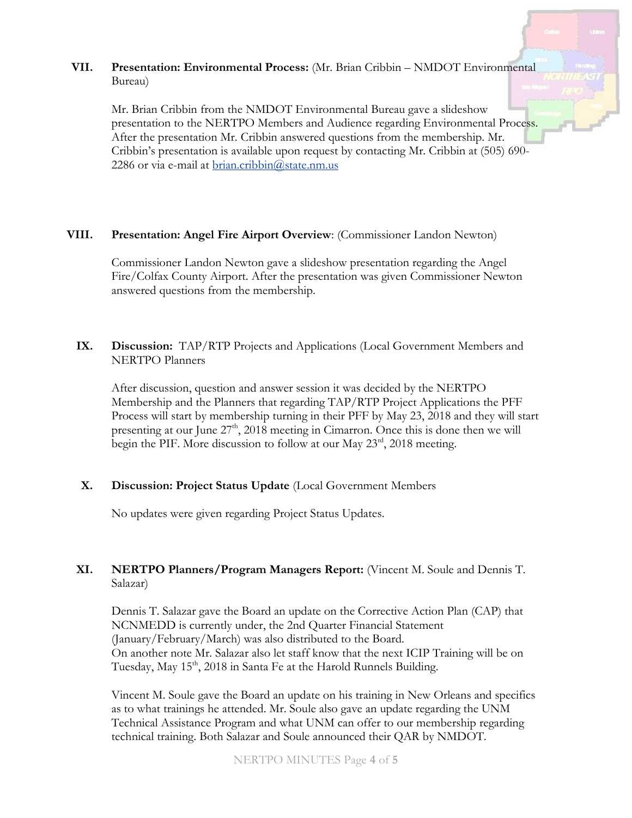#### **VII. Presentation: Environmental Process:** (Mr. Brian Cribbin – NMDOT Environmental Bureau)

Mr. Brian Cribbin from the NMDOT Environmental Bureau gave a slideshow presentation to the NERTPO Members and Audience regarding Environmental Process. After the presentation Mr. Cribbin answered questions from the membership. Mr. Cribbin's presentation is available upon request by contacting Mr. Cribbin at (505) 690 2286 or via e-mail at [brian.cribbin@state.nm.us](mailto:brian.cribbin@state.nm.us)

#### **VIII. Presentation: Angel Fire Airport Overview**: (Commissioner Landon Newton)

Commissioner Landon Newton gave a slideshow presentation regarding the Angel Fire/Colfax County Airport. After the presentation was given Commissioner Newton answered questions from the membership.

# **IX. Discussion:** TAP/RTP Projects and Applications (Local Government Members and NERTPO Planners

After discussion, question and answer session it was decided by the NERTPO Membership and the Planners that regarding TAP/RTP Project Applications the PFF Process will start by membership turning in their PFF by May 23, 2018 and they will start presenting at our June  $27<sup>th</sup>$ ,  $2018$  meeting in Cimarron. Once this is done then we will begin the PIF. More discussion to follow at our May 23<sup>rd</sup>, 2018 meeting.

# **X. Discussion: Project Status Update** (Local Government Members

No updates were given regarding Project Status Updates.

# **XI. NERTPO Planners/Program Managers Report:** (Vincent M. Soule and Dennis T. Salazar)

Dennis T. Salazar gave the Board an update on the Corrective Action Plan (CAP) that NCNMEDD is currently under, the 2nd Quarter Financial Statement (January/February/March) was also distributed to the Board. On another note Mr. Salazar also let staff know that the next ICIP Training will be on Tuesday, May 15<sup>th</sup>, 2018 in Santa Fe at the Harold Runnels Building.

Vincent M. Soule gave the Board an update on his training in New Orleans and specifics as to what trainings he attended. Mr. Soule also gave an update regarding the UNM Technical Assistance Program and what UNM can offer to our membership regarding technical training. Both Salazar and Soule announced their QAR by NMDOT.